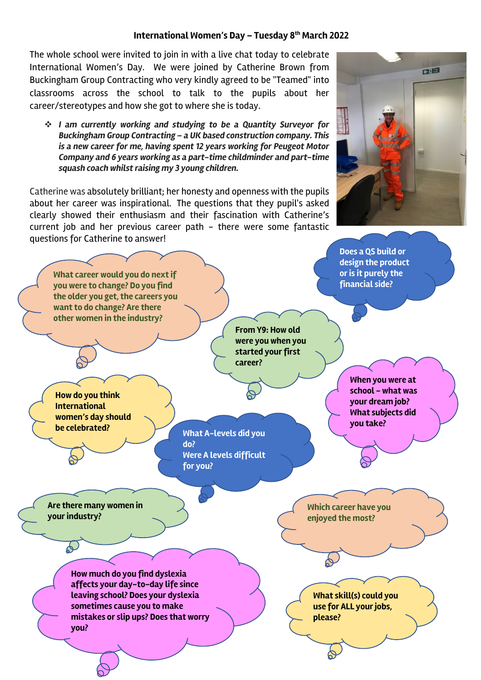## **International Women's Day – Tuesday 8th March 2022**

The whole school were invited to join in with a live chat today to celebrate International Women's Day. We were joined by Catherine Brown from Buckingham Group Contracting who very kindly agreed to be "Teamed" into classrooms across the school to talk to the pupils about her career/stereotypes and how she got to where she is today.

v *I am currently working and studying to be a Quantity Surveyor for Buckingham Group Contracting – a UK based construction company. This is a new career for me, having spent 12 years working for Peugeot Motor Company and 6 years working as a part-time childminder and part-time squash coach whilst raising my 3 young children.*

Catherine was absolutely brilliant; her honesty and openness with the pupils about her career was inspirational. The questions that they pupil's asked clearly showed their enthusiasm and their fascination with Catherine's current job and her previous career path - there were some fantastic questions for Catherine to answer!